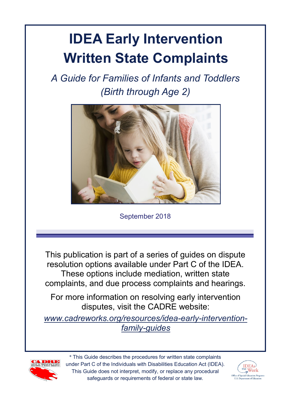# **IDEA Early Intervention Written State Complaints**

*A Guide for Families of Infants and Toddlers (Birth through Age 2)*



September 2018

This publication is part of a series of guides on dispute resolution options available under Part C of the IDEA. These options include mediation, written state complaints, and due process complaints and hearings.

For more information on resolving early intervention disputes, visit the CADRE website:

*[www.cadreworks.org/resources/idea](http://www.cadreworks.org/resources/idea-early-intervention-family-guides)-early-interventionfamily-[guides](http://www.cadreworks.org/resources/idea-early-intervention-family-guides)*



\* This Guide describes the procedures for written state complaints under Part C of the Individuals with Disabilities Education Act (IDEA). This Guide does not interpret, modify, or replace any procedural safeguards or requirements of federal or state law.

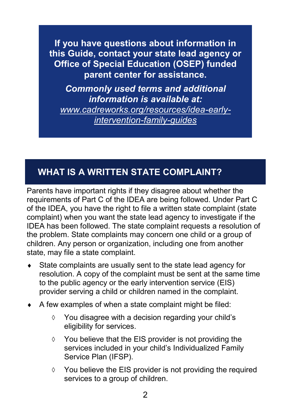**If you have questions about information in this Guide, contact your state lead agency or Office of Special Education (OSEP) funded parent center for assistance.** 

*Commonly used terms and additional information is available at: [www.cadreworks.org/resources/idea](http://www.cadreworks.org/resources/idea-early-intervention-family-guides)-early[intervention](http://www.cadreworks.org/resources/idea-early-intervention-family-guides)-family-guides*

# **WHAT IS A WRITTEN STATE COMPLAINT?**

Parents have important rights if they disagree about whether the requirements of Part C of the IDEA are being followed. Under Part C of the IDEA, you have the right to file a written state complaint (state complaint) when you want the state lead agency to investigate if the IDEA has been followed. The state complaint requests a resolution of the problem. State complaints may concern one child or a group of children. Any person or organization, including one from another state, may file a state complaint.

- State complaints are usually sent to the state lead agency for resolution. A copy of the complaint must be sent at the same time to the public agency or the early intervention service (EIS) provider serving a child or children named in the complaint.
- $\triangle$  A few examples of when a state complaint might be filed:
	- $\Diamond$  You disagree with a decision regarding your child's eligibility for services.
	- $\Diamond$  You believe that the EIS provider is not providing the services included in your child's Individualized Family Service Plan (IFSP).
	- $\Diamond$  You believe the EIS provider is not providing the required services to a group of children.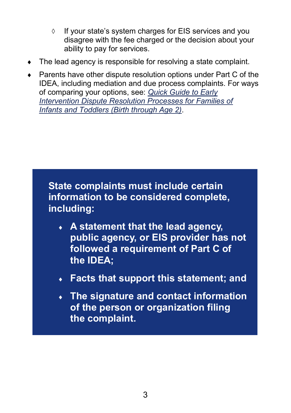- $\circ$  If vour state's system charges for EIS services and you disagree with the fee charged or the decision about your ability to pay for services.
- The lead agency is responsible for resolving a state complaint.
- Parents have other dispute resolution options under Part C of the IDEA, including mediation and due process complaints. For ways of comparing your options, see: *[Quick Guide to Early](https://www.cadreworks.org/sites/default/files/resources/Part%20C%20DR%20Comparison%20Chart-FINAL%208-23-18.pdf)  [Intervention Dispute Resolution Processes for Families of](https://www.cadreworks.org/sites/default/files/resources/Part%20C%20DR%20Comparison%20Chart-FINAL%208-23-18.pdf)  [Infants and Toddlers \(Birth through Age 2\)](https://www.cadreworks.org/sites/default/files/resources/Part%20C%20DR%20Comparison%20Chart-FINAL%208-23-18.pdf)*.

**State complaints must include certain information to be considered complete, including:**

- **A statement that the lead agency, public agency, or EIS provider has not followed a requirement of Part C of the IDEA;**
- **Facts that support this statement; and**
- **The signature and contact information of the person or organization filing the complaint.**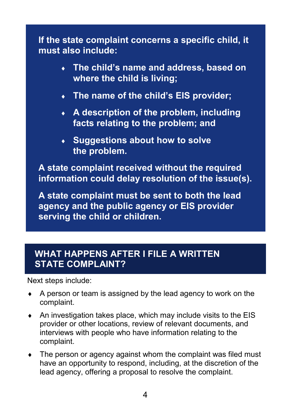**If the state complaint concerns a specific child, it must also include:**

- **The child's name and address, based on where the child is living;**
- **The name of the child's EIS provider;**
- **A description of the problem, including facts relating to the problem; and**
- **Suggestions about how to solve the problem.**

**A state complaint received without the required information could delay resolution of the issue(s).**

**A state complaint must be sent to both the lead agency and the public agency or EIS provider serving the child or children.**

## **WHAT HAPPENS AFTER I FILE A WRITTEN STATE COMPLAINT?**

Next steps include:

- A person or team is assigned by the lead agency to work on the complaint.
- $\triangle$  An investigation takes place, which may include visits to the EIS provider or other locations, review of relevant documents, and interviews with people who have information relating to the complaint.
- The person or agency against whom the complaint was filed must have an opportunity to respond, including, at the discretion of the lead agency, offering a proposal to resolve the complaint.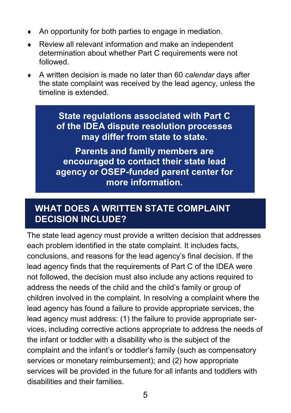- An opportunity for both parties to engage in mediation.
- Review all relevant information and make an independent determination about whether Part C requirements were not followed.
- A written decision is made no later than 60 *calendar* days after the state complaint was received by the lead agency, unless the timeline is extended.

**State regulations associated with Part C of the IDEA dispute resolution processes may differ from state to state.**

**Parents and family members are encouraged to contact their state lead agency or OSEP-funded parent center for more information.**

## **WHAT DOES A WRITTEN STATE COMPLAINT DECISION INCLUDE?**

The state lead agency must provide a written decision that addresses each problem identified in the state complaint. It includes facts, conclusions, and reasons for the lead agency's final decision. If the lead agency finds that the requirements of Part C of the IDEA were not followed, the decision must also include any actions required to address the needs of the child and the child's family or group of children involved in the complaint. In resolving a complaint where the lead agency has found a failure to provide appropriate services, the lead agency must address: (1) the failure to provide appropriate services, including corrective actions appropriate to address the needs of the infant or toddler with a disability who is the subject of the complaint and the infant's or toddler's family (such as compensatory services or monetary reimbursement); and [\(2\)](https://sites.ed.gov/idea/regs/c/e/303.432/b/2) how appropriate services will be provided in the future for all infants and toddlers with disabilities and their families.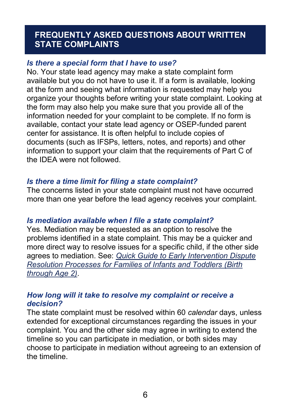### **FREQUENTLY ASKED QUESTIONS ABOUT WRITTEN STATE COMPLAINTS**

#### *Is there a special form that I have to use?*

No. Your state lead agency may make a state complaint form available but you do not have to use it. If a form is available, looking at the form and seeing what information is requested may help you organize your thoughts before writing your state complaint. Looking at the form may also help you make sure that you provide all of the information needed for your complaint to be complete. If no form is available, contact your state lead agency or OSEP-funded parent center for assistance. It is often helpful to include copies of documents (such as IFSPs, letters, notes, and reports) and other information to support your claim that the requirements of Part C of the IDEA were not followed.

#### *Is there a time limit for filing a state complaint?*

The concerns listed in your state complaint must not have occurred more than one year before the lead agency receives your complaint.

#### *Is mediation available when I file a state complaint?*

Yes. Mediation may be requested as an option to resolve the problems identified in a state complaint. This may be a quicker and more direct way to resolve issues for a specific child, if the other side agrees to mediation. See: *[Quick Guide to Early Intervention Dispute](https://www.cadreworks.org/sites/default/files/resources/Part%20C%20DR%20Comparison%20Chart-FINAL%208-23-18.pdf)  [Resolution Processes for Families of Infants and Toddlers \(Birth](https://www.cadreworks.org/sites/default/files/resources/Part%20C%20DR%20Comparison%20Chart-FINAL%208-23-18.pdf)  [through Age 2\)](https://www.cadreworks.org/sites/default/files/resources/Part%20C%20DR%20Comparison%20Chart-FINAL%208-23-18.pdf)*.

#### *How long will it take to resolve my complaint or receive a decision?*

The state complaint must be resolved within 60 *calendar* days, unless extended for exceptional circumstances regarding the issues in your complaint. You and the other side may agree in writing to extend the timeline so you can participate in mediation, or both sides may choose to participate in mediation without agreeing to an extension of the timeline.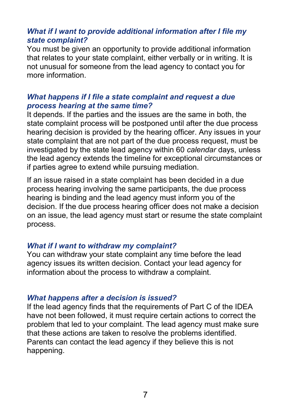#### *What if I want to provide additional information after I file my state complaint?*

You must be given an opportunity to provide additional information that relates to your state complaint, either verbally or in writing. It is not unusual for someone from the lead agency to contact you for more information.

#### *What happens if I file a state complaint and request a due process hearing at the same time?*

It depends. If the parties and the issues are the same in both, the state complaint process will be postponed until after the due process hearing decision is provided by the hearing officer. Any issues in your state complaint that are not part of the due process request, must be investigated by the state lead agency within 60 *calendar* days, unless the lead agency extends the timeline for exceptional circumstances or if parties agree to extend while pursuing mediation.

If an issue raised in a state complaint has been decided in a due process hearing involving the same participants, the due process hearing is binding and the lead agency must inform you of the decision. If the due process hearing officer does not make a decision on an issue, the lead agency must start or resume the state complaint process.

#### *What if I want to withdraw my complaint?*

You can withdraw your state complaint any time before the lead agency issues its written decision. Contact your lead agency for information about the process to withdraw a complaint.

#### *What happens after a decision is issued?*

If the lead agency finds that the requirements of Part C of the IDEA have not been followed, it must require certain actions to correct the problem that led to your complaint. The lead agency must make sure that these actions are taken to resolve the problems identified. Parents can contact the lead agency if they believe this is not happening.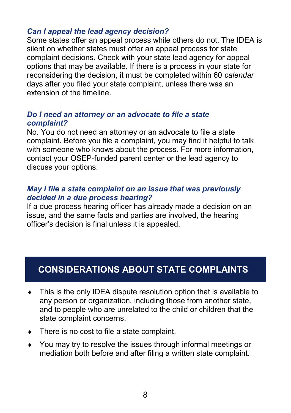#### *Can I appeal the lead agency decision?*

Some states offer an appeal process while others do not. The IDEA is silent on whether states must offer an appeal process for state complaint decisions. Check with your state lead agency for appeal options that may be available. If there is a process in your state for reconsidering the decision, it must be completed within 60 *calendar*  days after you filed your state complaint, unless there was an extension of the timeline.

#### *Do I need an attorney or an advocate to file a state complaint?*

No. You do not need an attorney or an advocate to file a state complaint. Before you file a complaint, you may find it helpful to talk with someone who knows about the process. For more information, contact your OSEP-funded parent center or the lead agency to discuss your options.

#### *May I file a state complaint on an issue that was previously decided in a due process hearing?*

If a due process hearing officer has already made a decision on an issue, and the same facts and parties are involved, the hearing officer's decision is final unless it is appealed.

# **CONSIDERATIONS ABOUT STATE COMPLAINTS**

- This is the only IDEA dispute resolution option that is available to any person or organization, including those from another state, and to people who are unrelated to the child or children that the state complaint concerns.
- There is no cost to file a state complaint.
- You may try to resolve the issues through informal meetings or mediation both before and after filing a written state complaint.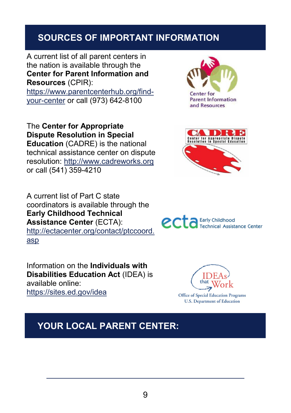## **SOURCES OF IMPORTANT INFORMATION**

A current list of all parent centers in the nation is available through the **Center for Parent Information and Resources** (CPIR): [https://www.parentcenterhub.org/find](https://www.parentcenterhub.org/find-your-center)your-[center](https://www.parentcenterhub.org/find-your-center) or call (973) 642-8100

The **Center for Appropriate Dispute Resolution in Special Education** (CADRE) is the national technical assistance center on dispute resolution:<http://www.cadreworks.org> or call (541) 359-4210

A current list of Part C state coordinators is available through the **Early Childhood Technical Assistance Center** (ECTA): [http://ectacenter.org/contact/ptccoord.](http://ectacenter.org/contact/ptccoord.asp) [asp](http://ectacenter.org/contact/ptccoord.asp)

Information on the **Individuals with Disabilities Education Act** (IDEA) is available online: <https://sites.ed.gov/idea>







**Technical Assistance Center** 

ecta Early Childhood



**Office of Special Education Programs U.S. Department of Education** 

# **YOUR LOCAL PARENT CENTER:**